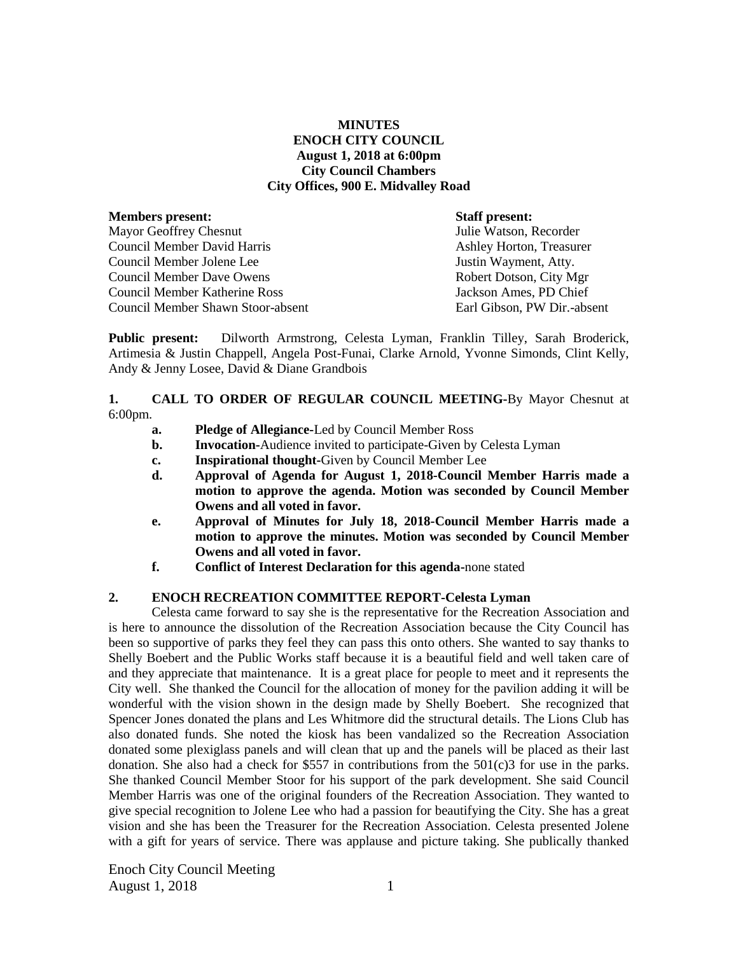## **MINUTES ENOCH CITY COUNCIL August 1, 2018 at 6:00pm City Council Chambers City Offices, 900 E. Midvalley Road**

| <b>Members</b> present:              | <b>Staff present:</b>       |
|--------------------------------------|-----------------------------|
| Mayor Geoffrey Chesnut               | Julie Watson, Recorder      |
| <b>Council Member David Harris</b>   | Ashley Horton, Treasurer    |
| Council Member Jolene Lee            | Justin Wayment, Atty.       |
| <b>Council Member Dave Owens</b>     | Robert Dotson, City Mgr     |
| <b>Council Member Katherine Ross</b> | Jackson Ames, PD Chief      |
| Council Member Shawn Stoor-absent    | Earl Gibson, PW Dir.-absent |

**Public present:** Dilworth Armstrong, Celesta Lyman, Franklin Tilley, Sarah Broderick, Artimesia & Justin Chappell, Angela Post-Funai, Clarke Arnold, Yvonne Simonds, Clint Kelly, Andy & Jenny Losee, David & Diane Grandbois

## **1. CALL TO ORDER OF REGULAR COUNCIL MEETING-**By Mayor Chesnut at 6:00pm.

- **a. Pledge of Allegiance-**Led by Council Member Ross
- **b. Invocation-**Audience invited to participate-Given by Celesta Lyman
- **c. Inspirational thought-**Given by Council Member Lee
- **d. Approval of Agenda for August 1, 2018-Council Member Harris made a motion to approve the agenda. Motion was seconded by Council Member Owens and all voted in favor.**
- **e. Approval of Minutes for July 18, 2018-Council Member Harris made a motion to approve the minutes. Motion was seconded by Council Member Owens and all voted in favor.**
- **f. Conflict of Interest Declaration for this agenda-**none stated

## **2. ENOCH RECREATION COMMITTEE REPORT-Celesta Lyman**

Celesta came forward to say she is the representative for the Recreation Association and is here to announce the dissolution of the Recreation Association because the City Council has been so supportive of parks they feel they can pass this onto others. She wanted to say thanks to Shelly Boebert and the Public Works staff because it is a beautiful field and well taken care of and they appreciate that maintenance. It is a great place for people to meet and it represents the City well. She thanked the Council for the allocation of money for the pavilion adding it will be wonderful with the vision shown in the design made by Shelly Boebert. She recognized that Spencer Jones donated the plans and Les Whitmore did the structural details. The Lions Club has also donated funds. She noted the kiosk has been vandalized so the Recreation Association donated some plexiglass panels and will clean that up and the panels will be placed as their last donation. She also had a check for \$557 in contributions from the 501(c)3 for use in the parks. She thanked Council Member Stoor for his support of the park development. She said Council Member Harris was one of the original founders of the Recreation Association. They wanted to give special recognition to Jolene Lee who had a passion for beautifying the City. She has a great vision and she has been the Treasurer for the Recreation Association. Celesta presented Jolene with a gift for years of service. There was applause and picture taking. She publically thanked

Enoch City Council Meeting August 1, 2018 1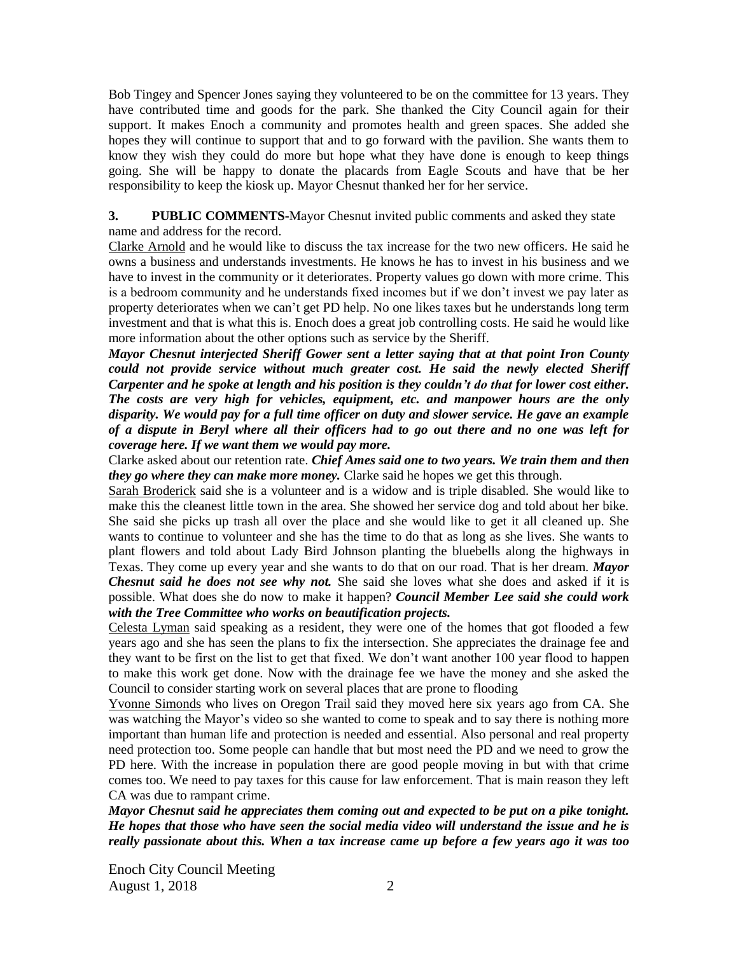Bob Tingey and Spencer Jones saying they volunteered to be on the committee for 13 years. They have contributed time and goods for the park. She thanked the City Council again for their support. It makes Enoch a community and promotes health and green spaces. She added she hopes they will continue to support that and to go forward with the pavilion. She wants them to know they wish they could do more but hope what they have done is enough to keep things going. She will be happy to donate the placards from Eagle Scouts and have that be her responsibility to keep the kiosk up. Mayor Chesnut thanked her for her service.

**3. PUBLIC COMMENTS-**Mayor Chesnut invited public comments and asked they state name and address for the record.

Clarke Arnold and he would like to discuss the tax increase for the two new officers. He said he owns a business and understands investments. He knows he has to invest in his business and we have to invest in the community or it deteriorates. Property values go down with more crime. This is a bedroom community and he understands fixed incomes but if we don't invest we pay later as property deteriorates when we can't get PD help. No one likes taxes but he understands long term investment and that is what this is. Enoch does a great job controlling costs. He said he would like more information about the other options such as service by the Sheriff.

*Mayor Chesnut interjected Sheriff Gower sent a letter saying that at that point Iron County could not provide service without much greater cost. He said the newly elected Sheriff Carpenter and he spoke at length and his position is they couldn't do that for lower cost either. The costs are very high for vehicles, equipment, etc. and manpower hours are the only disparity. We would pay for a full time officer on duty and slower service. He gave an example of a dispute in Beryl where all their officers had to go out there and no one was left for coverage here. If we want them we would pay more.* 

Clarke asked about our retention rate. *Chief Ames said one to two years. We train them and then they go where they can make more money.* Clarke said he hopes we get this through.

Sarah Broderick said she is a volunteer and is a widow and is triple disabled. She would like to make this the cleanest little town in the area. She showed her service dog and told about her bike. She said she picks up trash all over the place and she would like to get it all cleaned up. She wants to continue to volunteer and she has the time to do that as long as she lives. She wants to plant flowers and told about Lady Bird Johnson planting the bluebells along the highways in Texas. They come up every year and she wants to do that on our road. That is her dream. *Mayor Chesnut said he does not see why not.* She said she loves what she does and asked if it is possible. What does she do now to make it happen? *Council Member Lee said she could work with the Tree Committee who works on beautification projects.*

Celesta Lyman said speaking as a resident, they were one of the homes that got flooded a few years ago and she has seen the plans to fix the intersection. She appreciates the drainage fee and they want to be first on the list to get that fixed. We don't want another 100 year flood to happen to make this work get done. Now with the drainage fee we have the money and she asked the Council to consider starting work on several places that are prone to flooding

Yvonne Simonds who lives on Oregon Trail said they moved here six years ago from CA. She was watching the Mayor's video so she wanted to come to speak and to say there is nothing more important than human life and protection is needed and essential. Also personal and real property need protection too. Some people can handle that but most need the PD and we need to grow the PD here. With the increase in population there are good people moving in but with that crime comes too. We need to pay taxes for this cause for law enforcement. That is main reason they left CA was due to rampant crime.

*Mayor Chesnut said he appreciates them coming out and expected to be put on a pike tonight. He hopes that those who have seen the social media video will understand the issue and he is really passionate about this. When a tax increase came up before a few years ago it was too* 

Enoch City Council Meeting August 1, 2018 2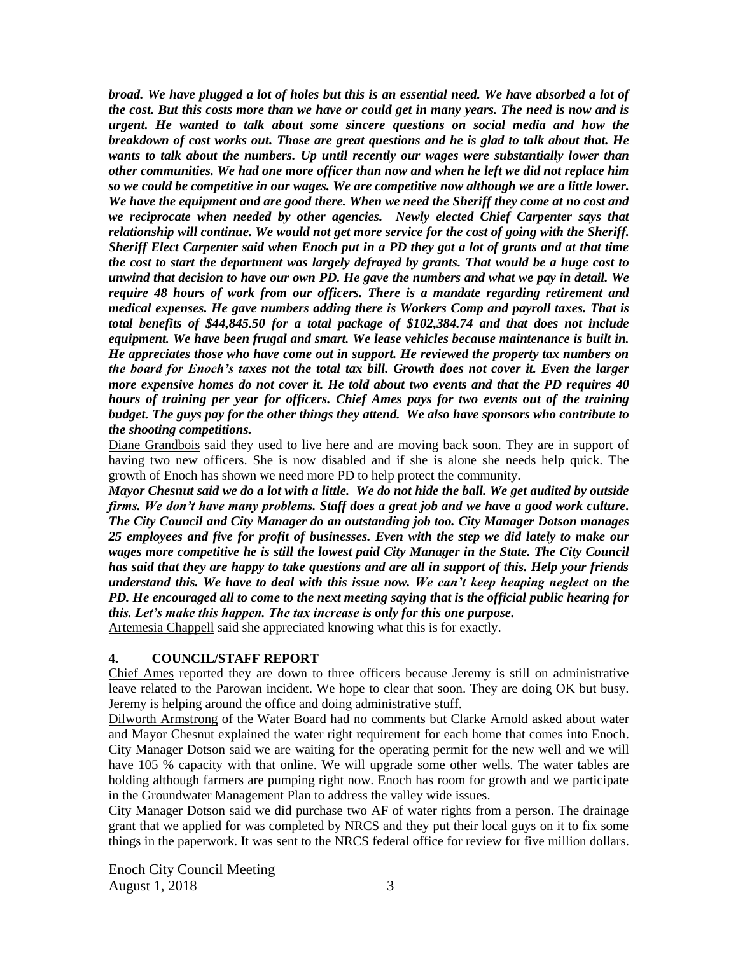*broad. We have plugged a lot of holes but this is an essential need. We have absorbed a lot of the cost. But this costs more than we have or could get in many years. The need is now and is urgent. He wanted to talk about some sincere questions on social media and how the breakdown of cost works out. Those are great questions and he is glad to talk about that. He wants to talk about the numbers. Up until recently our wages were substantially lower than other communities. We had one more officer than now and when he left we did not replace him so we could be competitive in our wages. We are competitive now although we are a little lower. We have the equipment and are good there. When we need the Sheriff they come at no cost and we reciprocate when needed by other agencies. Newly elected Chief Carpenter says that relationship will continue. We would not get more service for the cost of going with the Sheriff. Sheriff Elect Carpenter said when Enoch put in a PD they got a lot of grants and at that time the cost to start the department was largely defrayed by grants. That would be a huge cost to unwind that decision to have our own PD. He gave the numbers and what we pay in detail. We require 48 hours of work from our officers. There is a mandate regarding retirement and medical expenses. He gave numbers adding there is Workers Comp and payroll taxes. That is total benefits of \$44,845.50 for a total package of \$102,384.74 and that does not include equipment. We have been frugal and smart. We lease vehicles because maintenance is built in. He appreciates those who have come out in support. He reviewed the property tax numbers on the board for Enoch's taxes not the total tax bill. Growth does not cover it. Even the larger more expensive homes do not cover it. He told about two events and that the PD requires 40 hours of training per year for officers. Chief Ames pays for two events out of the training budget. The guys pay for the other things they attend. We also have sponsors who contribute to the shooting competitions.* 

Diane Grandbois said they used to live here and are moving back soon. They are in support of having two new officers. She is now disabled and if she is alone she needs help quick. The growth of Enoch has shown we need more PD to help protect the community.

*Mayor Chesnut said we do a lot with a little. We do not hide the ball. We get audited by outside firms. We don't have many problems. Staff does a great job and we have a good work culture. The City Council and City Manager do an outstanding job too. City Manager Dotson manages 25 employees and five for profit of businesses. Even with the step we did lately to make our wages more competitive he is still the lowest paid City Manager in the State. The City Council has said that they are happy to take questions and are all in support of this. Help your friends understand this. We have to deal with this issue now. We can't keep heaping neglect on the PD. He encouraged all to come to the next meeting saying that is the official public hearing for this. Let's make this happen. The tax increase is only for this one purpose.* 

Artemesia Chappell said she appreciated knowing what this is for exactly.

## **4. COUNCIL/STAFF REPORT**

Chief Ames reported they are down to three officers because Jeremy is still on administrative leave related to the Parowan incident. We hope to clear that soon. They are doing OK but busy. Jeremy is helping around the office and doing administrative stuff.

Dilworth Armstrong of the Water Board had no comments but Clarke Arnold asked about water and Mayor Chesnut explained the water right requirement for each home that comes into Enoch. City Manager Dotson said we are waiting for the operating permit for the new well and we will have 105 % capacity with that online. We will upgrade some other wells. The water tables are holding although farmers are pumping right now. Enoch has room for growth and we participate in the Groundwater Management Plan to address the valley wide issues.

City Manager Dotson said we did purchase two AF of water rights from a person. The drainage grant that we applied for was completed by NRCS and they put their local guys on it to fix some things in the paperwork. It was sent to the NRCS federal office for review for five million dollars.

Enoch City Council Meeting August 1, 2018 3